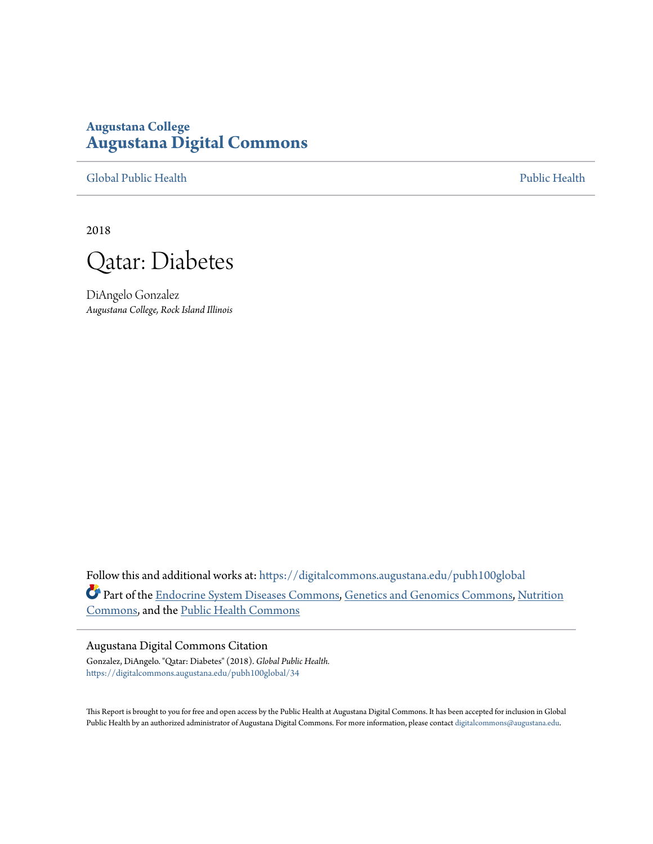## **Augustana College [Augustana Digital Commons](https://digitalcommons.augustana.edu?utm_source=digitalcommons.augustana.edu%2Fpubh100global%2F34&utm_medium=PDF&utm_campaign=PDFCoverPages)**

[Global Public Health](https://digitalcommons.augustana.edu/pubh100global?utm_source=digitalcommons.augustana.edu%2Fpubh100global%2F34&utm_medium=PDF&utm_campaign=PDFCoverPages) [Public Health](https://digitalcommons.augustana.edu/publichealth?utm_source=digitalcommons.augustana.edu%2Fpubh100global%2F34&utm_medium=PDF&utm_campaign=PDFCoverPages)

2018



DiAngelo Gonzalez *Augustana College, Rock Island Illinois*

Follow this and additional works at: [https://digitalcommons.augustana.edu/pubh100global](https://digitalcommons.augustana.edu/pubh100global?utm_source=digitalcommons.augustana.edu%2Fpubh100global%2F34&utm_medium=PDF&utm_campaign=PDFCoverPages) Part of the [Endocrine System Diseases Commons](http://network.bepress.com/hgg/discipline/969?utm_source=digitalcommons.augustana.edu%2Fpubh100global%2F34&utm_medium=PDF&utm_campaign=PDFCoverPages), [Genetics and Genomics Commons,](http://network.bepress.com/hgg/discipline/27?utm_source=digitalcommons.augustana.edu%2Fpubh100global%2F34&utm_medium=PDF&utm_campaign=PDFCoverPages) [Nutrition](http://network.bepress.com/hgg/discipline/95?utm_source=digitalcommons.augustana.edu%2Fpubh100global%2F34&utm_medium=PDF&utm_campaign=PDFCoverPages) [Commons,](http://network.bepress.com/hgg/discipline/95?utm_source=digitalcommons.augustana.edu%2Fpubh100global%2F34&utm_medium=PDF&utm_campaign=PDFCoverPages) and the [Public Health Commons](http://network.bepress.com/hgg/discipline/738?utm_source=digitalcommons.augustana.edu%2Fpubh100global%2F34&utm_medium=PDF&utm_campaign=PDFCoverPages)

#### Augustana Digital Commons Citation

Gonzalez, DiAngelo. "Qatar: Diabetes" (2018). *Global Public Health.* [https://digitalcommons.augustana.edu/pubh100global/34](https://digitalcommons.augustana.edu/pubh100global/34?utm_source=digitalcommons.augustana.edu%2Fpubh100global%2F34&utm_medium=PDF&utm_campaign=PDFCoverPages)

This Report is brought to you for free and open access by the Public Health at Augustana Digital Commons. It has been accepted for inclusion in Global Public Health by an authorized administrator of Augustana Digital Commons. For more information, please contact [digitalcommons@augustana.edu.](mailto:digitalcommons@augustana.edu)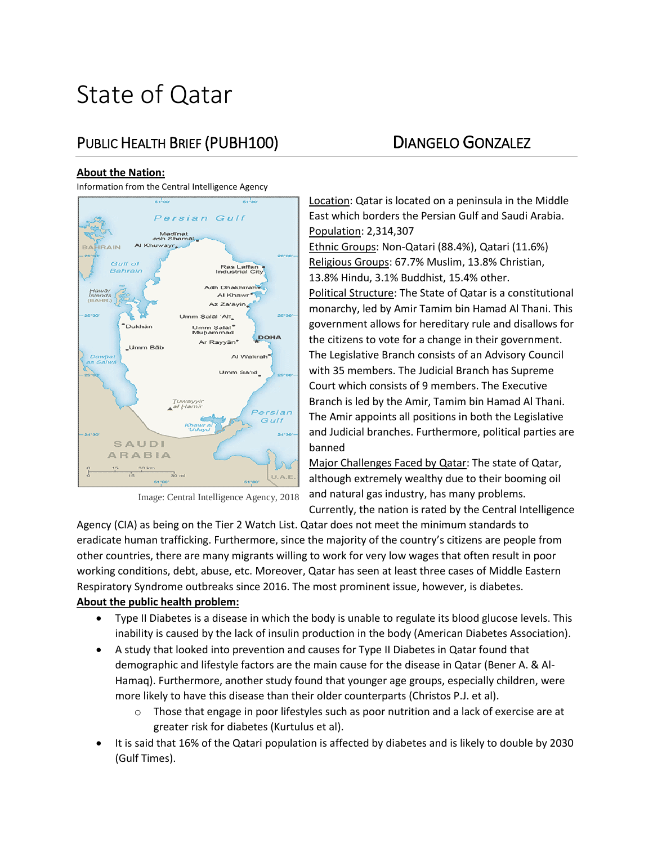# State of Qatar

# PUBLIC HEALTH BRIEF (PUBH100) DIANGELO GONZALEZ

#### **About the Nation:**

Information from the Central Intelligence Agency



Image: Central Intelligence Agency, 2018

Location: Qatar is located on a peninsula in the Middle East which borders the Persian Gulf and Saudi Arabia. Population: 2,314,307

Ethnic Groups: Non-Qatari (88.4%), Qatari (11.6%) Religious Groups: 67.7% Muslim, 13.8% Christian, 13.8% Hindu, 3.1% Buddhist, 15.4% other. Political Structure: The State of Qatar is a constitutional monarchy, led by Amir Tamim bin Hamad Al Thani. This government allows for hereditary rule and disallows for the citizens to vote for a change in their government. The Legislative Branch consists of an Advisory Council with 35 members. The Judicial Branch has Supreme Court which consists of 9 members. The Executive Branch is led by the Amir, Tamim bin Hamad Al Thani. The Amir appoints all positions in both the Legislative

and Judicial branches. Furthermore, political parties are banned Major Challenges Faced by Qatar: The state of Qatar,

although extremely wealthy due to their booming oil and natural gas industry, has many problems.

Currently, the nation is rated by the Central Intelligence

Agency (CIA) as being on the Tier 2 Watch List. Qatar does not meet the minimum standards to eradicate human trafficking. Furthermore, since the majority of the country's citizens are people from other countries, there are many migrants willing to work for very low wages that often result in poor working conditions, debt, abuse, etc. Moreover, Qatar has seen at least three cases of Middle Eastern Respiratory Syndrome outbreaks since 2016. The most prominent issue, however, is diabetes. **About the public health problem:** 

- Type II Diabetes is a disease in which the body is unable to regulate its blood glucose levels. This inability is caused by the lack of insulin production in the body (American Diabetes Association).
- A study that looked into prevention and causes for Type II Diabetes in Qatar found that demographic and lifestyle factors are the main cause for the disease in Qatar (Bener A. & Al-Hamaq). Furthermore, another study found that younger age groups, especially children, were more likely to have this disease than their older counterparts (Christos P.J. et al).
	- o Those that engage in poor lifestyles such as poor nutrition and a lack of exercise are at greater risk for diabetes (Kurtulus et al).
- It is said that 16% of the Qatari population is affected by diabetes and is likely to double by 2030 (Gulf Times).